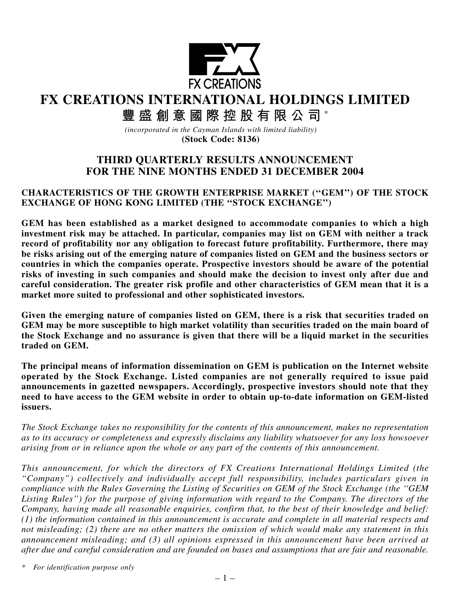

**FX CREATIONS INTERNATIONAL HOLDINGS LIMITED**

**豐盛創意國際控股有限公司** \*

*(incorporated in the Cayman Islands with limited liability)* **(Stock Code: 8136)**

# **THIRD QUARTERLY RESULTS ANNOUNCEMENT FOR THE NINE MONTHS ENDED 31 DECEMBER 2004**

## **CHARACTERISTICS OF THE GROWTH ENTERPRISE MARKET (''GEM'') OF THE STOCK EXCHANGE OF HONG KONG LIMITED (THE ''STOCK EXCHANGE'')**

**GEM has been established as a market designed to accommodate companies to which a high investment risk may be attached. In particular, companies may list on GEM with neither a track record of profitability nor any obligation to forecast future profitability. Furthermore, there may be risks arising out of the emerging nature of companies listed on GEM and the business sectors or countries in which the companies operate. Prospective investors should be aware of the potential risks of investing in such companies and should make the decision to invest only after due and careful consideration. The greater risk profile and other characteristics of GEM mean that it is a market more suited to professional and other sophisticated investors.**

**Given the emerging nature of companies listed on GEM, there is a risk that securities traded on GEM may be more susceptible to high market volatility than securities traded on the main board of the Stock Exchange and no assurance is given that there will be a liquid market in the securities traded on GEM.**

**The principal means of information dissemination on GEM is publication on the Internet website operated by the Stock Exchange. Listed companies are not generally required to issue paid announcements in gazetted newspapers. Accordingly, prospective investors should note that they need to have access to the GEM website in order to obtain up-to-date information on GEM-listed issuers.**

*The Stock Exchange takes no responsibility for the contents of this announcement, makes no representation as to its accuracy or completeness and expressly disclaims any liability whatsoever for any loss howsoever arising from or in reliance upon the whole or any part of the contents of this announcement.*

*This announcement, for which the directors of FX Creations International Holdings Limited (the "Company") collectively and individually accept full responsibility, includes particulars given in compliance with the Rules Governing the Listing of Securities on GEM of the Stock Exchange (the ''GEM Listing Rules'') for the purpose of giving information with regard to the Company. The directors of the Company, having made all reasonable enquiries, confirm that, to the best of their knowledge and belief: (1) the information contained in this announcement is accurate and complete in all material respects and not misleading; (2) there are no other matters the omission of which would make any statement in this announcement misleading; and (3) all opinions expressed in this announcement have been arrived at after due and careful consideration and are founded on bases and assumptions that are fair and reasonable.*

*\* For identification purpose only*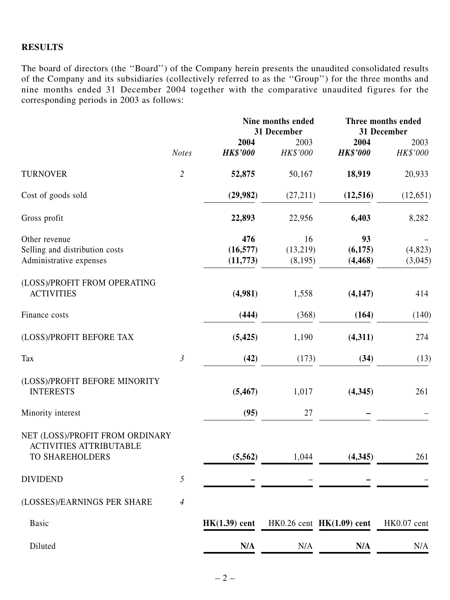## **RESULTS**

The board of directors (the ''Board'') of the Company herein presents the unaudited consolidated results of the Company and its subsidiaries (collectively referred to as the ''Group'') for the three months and nine months ended 31 December 2004 together with the comparative unaudited figures for the corresponding periods in 2003 as follows:

|                                                                                      | <b>Notes</b>   |                              | Nine months ended<br>31 December |                             | Three months ended<br>31 December |  |
|--------------------------------------------------------------------------------------|----------------|------------------------------|----------------------------------|-----------------------------|-----------------------------------|--|
|                                                                                      |                | 2004                         | 2003                             | 2004                        | 2003                              |  |
|                                                                                      |                | <b>HK\$'000</b>              | HK\$'000                         | <b>HK\$'000</b>             | HK\$'000                          |  |
| <b>TURNOVER</b>                                                                      | $\overline{2}$ | 52,875                       | 50,167                           | 18,919                      | 20,933                            |  |
| Cost of goods sold                                                                   |                | (29,982)                     | (27,211)                         | (12, 516)                   | (12, 651)                         |  |
| Gross profit                                                                         |                | 22,893                       | 22,956                           | 6,403                       | 8,282                             |  |
| Other revenue<br>Selling and distribution costs<br>Administrative expenses           |                | 476<br>(16, 577)<br>(11,773) | 16<br>(13,219)<br>(8,195)        | 93<br>(6,175)<br>(4, 468)   | (4,823)<br>(3,045)                |  |
| (LOSS)/PROFIT FROM OPERATING<br><b>ACTIVITIES</b>                                    |                | (4,981)                      | 1,558                            | (4, 147)                    | 414                               |  |
| Finance costs                                                                        |                | (444)                        | (368)                            | (164)                       | (140)                             |  |
| (LOSS)/PROFIT BEFORE TAX                                                             |                | (5, 425)                     | 1,190                            | (4,311)                     | 274                               |  |
| Tax                                                                                  | $\mathfrak{Z}$ | (42)                         | (173)                            | (34)                        | (13)                              |  |
| (LOSS)/PROFIT BEFORE MINORITY<br><b>INTERESTS</b>                                    |                | (5, 467)                     | 1,017                            | (4,345)                     | 261                               |  |
| Minority interest                                                                    |                | (95)                         | 27                               |                             |                                   |  |
| NET (LOSS)/PROFIT FROM ORDINARY<br><b>ACTIVITIES ATTRIBUTABLE</b><br>TO SHAREHOLDERS |                | (5, 562)                     | 1,044                            | (4, 345)                    | 261                               |  |
| <b>DIVIDEND</b>                                                                      | $\sqrt{2}$     |                              |                                  |                             |                                   |  |
| (LOSSES)/EARNINGS PER SHARE                                                          | $\overline{4}$ |                              |                                  |                             |                                   |  |
| <b>Basic</b>                                                                         |                | $HK(1.39)$ cent              |                                  | HK0.26 cent $HK(1.09)$ cent | HK0.07 cent                       |  |
| Diluted                                                                              |                | N/A                          | N/A                              | N/A                         | N/A                               |  |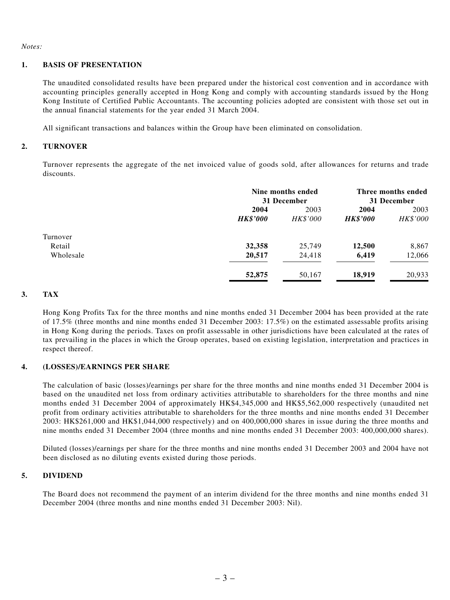#### *Notes:*

### **1. BASIS OF PRESENTATION**

The unaudited consolidated results have been prepared under the historical cost convention and in accordance with accounting principles generally accepted in Hong Kong and comply with accounting standards issued by the Hong Kong Institute of Certified Public Accountants. The accounting policies adopted are consistent with those set out in the annual financial statements for the year ended 31 March 2004.

All significant transactions and balances within the Group have been eliminated on consolidation.

### **2. TURNOVER**

Turnover represents the aggregate of the net invoiced value of goods sold, after allowances for returns and trade discounts.

|                 | Nine months ended<br>31 December |                 | Three months ended<br>31 December |  |
|-----------------|----------------------------------|-----------------|-----------------------------------|--|
| 2004            | 2003                             | 2004            | 2003                              |  |
| <b>HK\$'000</b> | HK\$'000                         | <b>HK\$'000</b> | HK\$'000                          |  |
|                 |                                  |                 |                                   |  |
| 32,358          | 25,749                           | 12,500          | 8,867                             |  |
| 20,517          | 24,418                           | 6,419           | 12,066                            |  |
| 52,875          | 50,167                           | 18,919          | 20,933                            |  |
|                 |                                  |                 |                                   |  |

### **3. TAX**

Hong Kong Profits Tax for the three months and nine months ended 31 December 2004 has been provided at the rate of 17.5% (three months and nine months ended 31 December 2003: 17.5%) on the estimated assessable profits arising in Hong Kong during the periods. Taxes on profit assessable in other jurisdictions have been calculated at the rates of tax prevailing in the places in which the Group operates, based on existing legislation, interpretation and practices in respect thereof.

#### **4. (LOSSES)/EARNINGS PER SHARE**

The calculation of basic (losses)/earnings per share for the three months and nine months ended 31 December 2004 is based on the unaudited net loss from ordinary activities attributable to shareholders for the three months and nine months ended 31 December 2004 of approximately HK\$4,345,000 and HK\$5,562,000 respectively (unaudited net profit from ordinary activities attributable to shareholders for the three months and nine months ended 31 December 2003: HK\$261,000 and HK\$1,044,000 respectively) and on 400,000,000 shares in issue during the three months and nine months ended 31 December 2004 (three months and nine months ended 31 December 2003: 400,000,000 shares).

Diluted (losses)/earnings per share for the three months and nine months ended 31 December 2003 and 2004 have not been disclosed as no diluting events existed during those periods.

#### **5. DIVIDEND**

The Board does not recommend the payment of an interim dividend for the three months and nine months ended 31 December 2004 (three months and nine months ended 31 December 2003: Nil).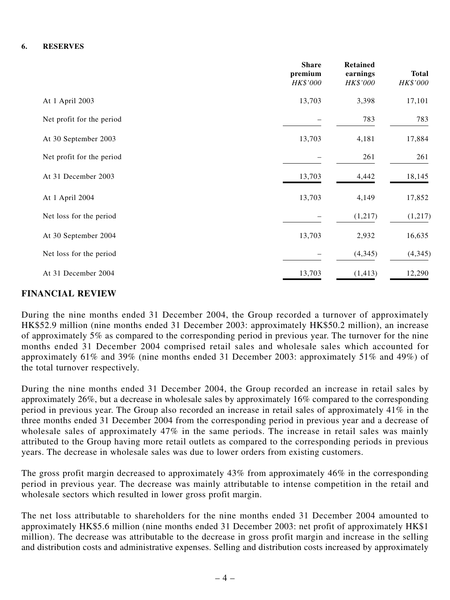#### **6. RESERVES**

|                           | <b>Share</b><br>premium<br>HK\$'000 | <b>Retained</b><br>earnings<br>HK\$'000 | <b>Total</b><br><b>HK\$'000</b> |
|---------------------------|-------------------------------------|-----------------------------------------|---------------------------------|
| At 1 April 2003           | 13,703                              | 3,398                                   | 17,101                          |
| Net profit for the period |                                     | 783                                     | 783                             |
| At 30 September 2003      | 13,703                              | 4,181                                   | 17,884                          |
| Net profit for the period |                                     | 261                                     | 261                             |
| At 31 December 2003       | 13,703                              | 4,442                                   | 18,145                          |
| At 1 April 2004           | 13,703                              | 4,149                                   | 17,852                          |
| Net loss for the period   |                                     | (1,217)                                 | (1,217)                         |
| At 30 September 2004      | 13,703                              | 2,932                                   | 16,635                          |
| Net loss for the period   |                                     | (4, 345)                                | (4, 345)                        |
| At 31 December 2004       | 13,703                              | (1, 413)                                | 12,290                          |

### **FINANCIAL REVIEW**

During the nine months ended 31 December 2004, the Group recorded a turnover of approximately HK\$52.9 million (nine months ended 31 December 2003: approximately HK\$50.2 million), an increase of approximately 5% as compared to the corresponding period in previous year. The turnover for the nine months ended 31 December 2004 comprised retail sales and wholesale sales which accounted for approximately 61% and 39% (nine months ended 31 December 2003: approximately 51% and 49%) of the total turnover respectively.

During the nine months ended 31 December 2004, the Group recorded an increase in retail sales by approximately 26%, but a decrease in wholesale sales by approximately 16% compared to the corresponding period in previous year. The Group also recorded an increase in retail sales of approximately 41% in the three months ended 31 December 2004 from the corresponding period in previous year and a decrease of wholesale sales of approximately 47% in the same periods. The increase in retail sales was mainly attributed to the Group having more retail outlets as compared to the corresponding periods in previous years. The decrease in wholesale sales was due to lower orders from existing customers.

The gross profit margin decreased to approximately 43% from approximately 46% in the corresponding period in previous year. The decrease was mainly attributable to intense competition in the retail and wholesale sectors which resulted in lower gross profit margin.

The net loss attributable to shareholders for the nine months ended 31 December 2004 amounted to approximately HK\$5.6 million (nine months ended 31 December 2003: net profit of approximately HK\$1 million). The decrease was attributable to the decrease in gross profit margin and increase in the selling and distribution costs and administrative expenses. Selling and distribution costs increased by approximately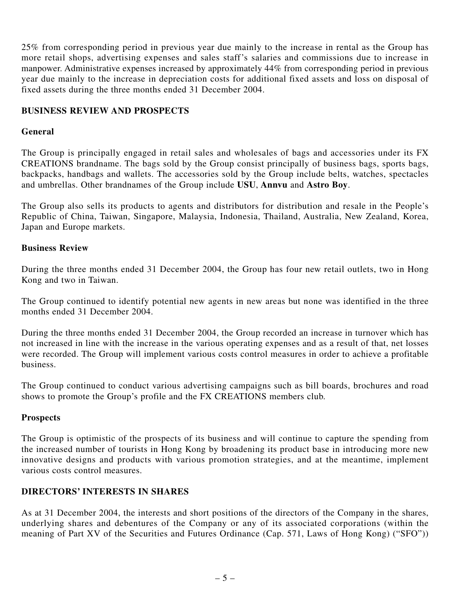25% from corresponding period in previous year due mainly to the increase in rental as the Group has more retail shops, advertising expenses and sales staff's salaries and commissions due to increase in manpower. Administrative expenses increased by approximately 44% from corresponding period in previous year due mainly to the increase in depreciation costs for additional fixed assets and loss on disposal of fixed assets during the three months ended 31 December 2004.

## **BUSINESS REVIEW AND PROSPECTS**

## **General**

The Group is principally engaged in retail sales and wholesales of bags and accessories under its FX CREATIONS brandname. The bags sold by the Group consist principally of business bags, sports bags, backpacks, handbags and wallets. The accessories sold by the Group include belts, watches, spectacles and umbrellas. Other brandnames of the Group include **USU**, **Annvu** and **Astro Boy**.

The Group also sells its products to agents and distributors for distribution and resale in the People's Republic of China, Taiwan, Singapore, Malaysia, Indonesia, Thailand, Australia, New Zealand, Korea, Japan and Europe markets.

### **Business Review**

During the three months ended 31 December 2004, the Group has four new retail outlets, two in Hong Kong and two in Taiwan.

The Group continued to identify potential new agents in new areas but none was identified in the three months ended 31 December 2004.

During the three months ended 31 December 2004, the Group recorded an increase in turnover which has not increased in line with the increase in the various operating expenses and as a result of that, net losses were recorded. The Group will implement various costs control measures in order to achieve a profitable business.

The Group continued to conduct various advertising campaigns such as bill boards, brochures and road shows to promote the Group's profile and the FX CREATIONS members club.

### **Prospects**

The Group is optimistic of the prospects of its business and will continue to capture the spending from the increased number of tourists in Hong Kong by broadening its product base in introducing more new innovative designs and products with various promotion strategies, and at the meantime, implement various costs control measures.

### **DIRECTORS' INTERESTS IN SHARES**

As at 31 December 2004, the interests and short positions of the directors of the Company in the shares, underlying shares and debentures of the Company or any of its associated corporations (within the meaning of Part XV of the Securities and Futures Ordinance (Cap. 571, Laws of Hong Kong) ("SFO"))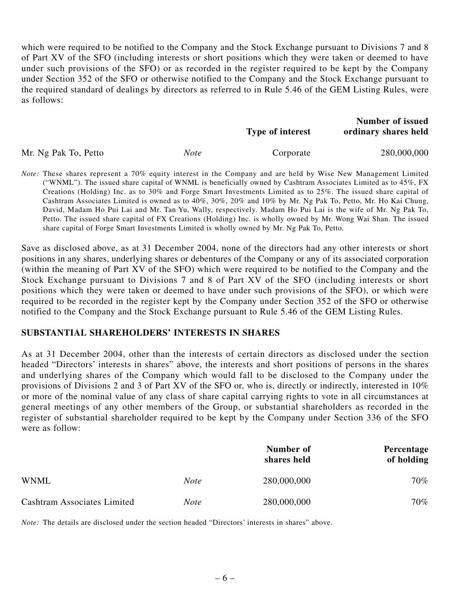which were required to be notified to the Company and the Stock Exchange pursuant to Divisions 7 and 8 of Part XV of the SFO (including interests or short positions which they were taken or deemed to have under such provisions of the SFO) or as recorded in the register required to be kept by the Company under Section 352 of the SFO or otherwise notified to the Company and the Stock Exchange pursuant to the required standard of dealings by directors as referred to in Rule 5.46 of the GEM Listing Rules, were as follows:

|                      |             | <b>Type of interest</b> | <b>Number of issued</b><br>ordinary shares held |
|----------------------|-------------|-------------------------|-------------------------------------------------|
| Mr. Ng Pak To, Petto | <i>Note</i> | Corporate               | 280,000,000                                     |

*Note:* These shares represent a 70% equity interest in the Company and are held by Wise New Management Limited ("WNML"). The issued share capital of WNML is beneficially owned by Cashtram Associates Limited as to 45%, FX Creations (Holding) Inc. as to 30% and Forge Smart Investments Limited as to 25%. The issued share capital of Cashtram Associates Limited is owned as to 40%, 30%, 20% and 10% by Mr. Ng Pak To, Petto, Mr. Ho Kai Chung, David, Madam Ho Pui Lai and Mr. Tan Yu, Wally, respectively. Madam Ho Pui Lai is the wife of Mr. Ng Pak To, Petto. The issued share capital of FX Creations (Holding) Inc. is wholly owned by Mr. Wong Wai Shan. The issued share capital of Forge Smart Investments Limited is wholly owned by Mr. Ng Pak To, Petto.

Save as disclosed above, as at 31 December 2004, none of the directors had any other interests or short positions in any shares, underlying shares or debentures of the Company or any of its associated corporation (within the meaning of Part XV of the SFO) which were required to be notified to the Company and the Stock Exchange pursuant to Divisions 7 and 8 of Part XV of the SFO (including interests or short positions which they were taken or deemed to have under such provisions of the SFO), or which were required to be recorded in the register kept by the Company under Section 352 of the SFO or otherwise notified to the Company and the Stock Exchange pursuant to Rule 5.46 of the GEM Listing Rules.

### **SUBSTANTIAL SHAREHOLDERS' INTERESTS IN SHARES**

As at 31 December 2004, other than the interests of certain directors as disclosed under the section headed "Directors' interests in shares" above, the interests and short positions of persons in the shares and underlying shares of the Company which would fall to be disclosed to the Company under the provisions of Divisions 2 and 3 of Part XV of the SFO or, who is, directly or indirectly, interested in 10% or more of the nominal value of any class of share capital carrying rights to vote in all circumstances at general meetings of any other members of the Group, or substantial shareholders as recorded in the register of substantial shareholder required to be kept by the Company under Section 336 of the SFO were as follow:

|                                    |             | Number of<br>shares held | Percentage<br>of holding |
|------------------------------------|-------------|--------------------------|--------------------------|
| <b>WNML</b>                        | <i>Note</i> | 280,000,000              | 70%                      |
| <b>Cashtram Associates Limited</b> | <b>Note</b> | 280,000,000              | 70%                      |

*Note:* The details are disclosed under the section headed "Directors' interests in shares" above.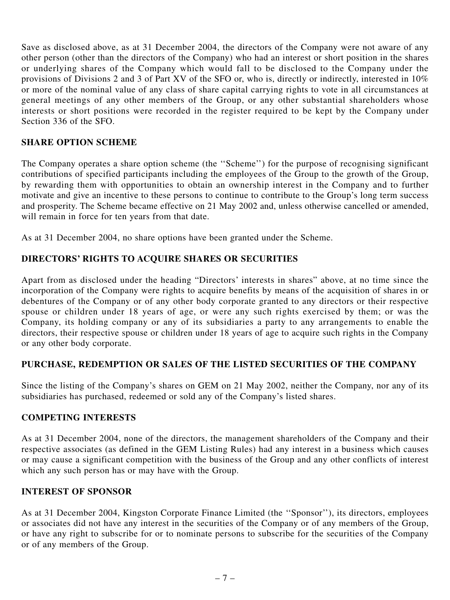Save as disclosed above, as at 31 December 2004, the directors of the Company were not aware of any other person (other than the directors of the Company) who had an interest or short position in the shares or underlying shares of the Company which would fall to be disclosed to the Company under the provisions of Divisions 2 and 3 of Part XV of the SFO or, who is, directly or indirectly, interested in 10% or more of the nominal value of any class of share capital carrying rights to vote in all circumstances at general meetings of any other members of the Group, or any other substantial shareholders whose interests or short positions were recorded in the register required to be kept by the Company under Section 336 of the SFO.

## **SHARE OPTION SCHEME**

The Company operates a share option scheme (the ''Scheme'') for the purpose of recognising significant contributions of specified participants including the employees of the Group to the growth of the Group, by rewarding them with opportunities to obtain an ownership interest in the Company and to further motivate and give an incentive to these persons to continue to contribute to the Group's long term success and prosperity. The Scheme became effective on 21 May 2002 and, unless otherwise cancelled or amended, will remain in force for ten years from that date.

As at 31 December 2004, no share options have been granted under the Scheme.

## **DIRECTORS' RIGHTS TO ACQUIRE SHARES OR SECURITIES**

Apart from as disclosed under the heading "Directors' interests in shares" above, at no time since the incorporation of the Company were rights to acquire benefits by means of the acquisition of shares in or debentures of the Company or of any other body corporate granted to any directors or their respective spouse or children under 18 years of age, or were any such rights exercised by them; or was the Company, its holding company or any of its subsidiaries a party to any arrangements to enable the directors, their respective spouse or children under 18 years of age to acquire such rights in the Company or any other body corporate.

## **PURCHASE, REDEMPTION OR SALES OF THE LISTED SECURITIES OF THE COMPANY**

Since the listing of the Company's shares on GEM on 21 May 2002, neither the Company, nor any of its subsidiaries has purchased, redeemed or sold any of the Company's listed shares.

## **COMPETING INTERESTS**

As at 31 December 2004, none of the directors, the management shareholders of the Company and their respective associates (as defined in the GEM Listing Rules) had any interest in a business which causes or may cause a significant competition with the business of the Group and any other conflicts of interest which any such person has or may have with the Group.

## **INTEREST OF SPONSOR**

As at 31 December 2004, Kingston Corporate Finance Limited (the ''Sponsor''), its directors, employees or associates did not have any interest in the securities of the Company or of any members of the Group, or have any right to subscribe for or to nominate persons to subscribe for the securities of the Company or of any members of the Group.